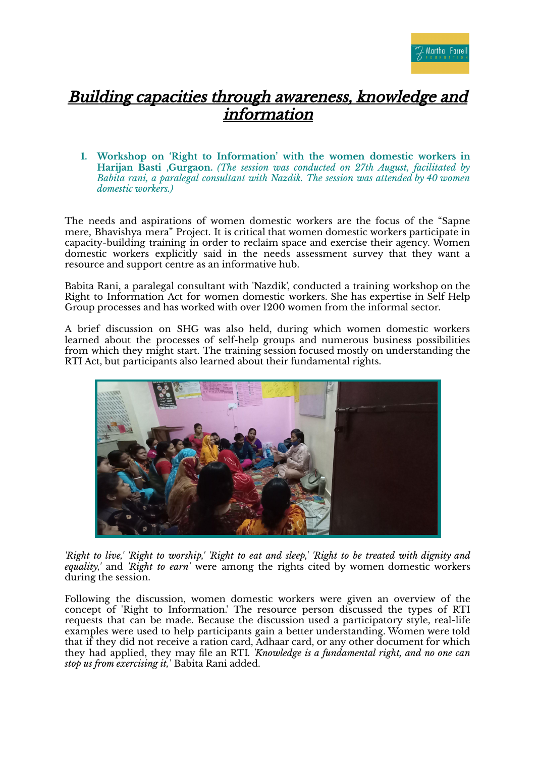

## Building capacities through awareness, knowledge and information

**1. Workshop on 'Right to Information' with the women domestic workers in Harijan Basti ,Gurgaon.** *(The session was conducted on 27th August, facilitated by Babita rani, a paralegal consultant with Nazdik. The session was attended by 40 women domestic workers.)*

The needs and aspirations of women domestic workers are the focus of the "Sapne mere, Bhavishya mera" Project. It is critical that women domestic workers participate in capacity-building training in order to reclaim space and exercise their agency. Women domestic workers explicitly said in the needs assessment survey that they want a resource and support centre as an informative hub.

Babita Rani, a paralegal consultant with 'Nazdik', conducted a training workshop on the Right to Information Act for women domestic workers. She has expertise in Self Help Group processes and has worked with over 1200 women from the informal sector.

A brief discussion on SHG was also held, during which women domestic workers learned about the processes of self-help groups and numerous business possibilities from which they might start. The training session focused mostly on understanding the RTI Act, but participants also learned about their fundamental rights.



'Right to live,' 'Right to worship,' 'Right to eat and sleep,' 'Right to be treated with dignity and *equality,'* and *'Right to earn'* were among the rights cited by women domestic workers during the session.

Following the discussion, women domestic workers were given an overview of the concept of 'Right to Information.' The resource person discussed the types of RTI requests that can be made. Because the discussion used a participatory style, real-life examples were used to help participants gain a better understanding. Women were told that if they did not receive a ration card, Adhaar card, or any other document for which they had applied, they may file an RTI*. 'Knowledge is a fundamental right, and no one can stop us from exercising it,*' Babita Rani added.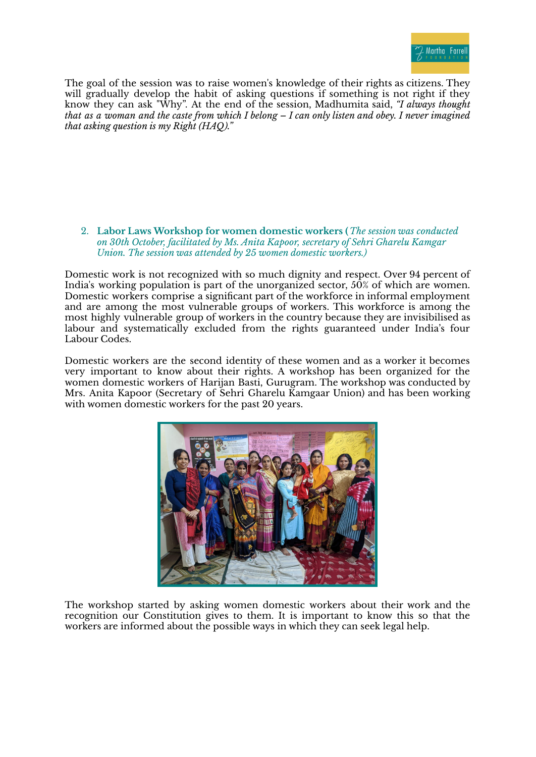

The goal of the session was to raise women's knowledge of their rights as citizens. They will gradually develop the habit of asking questions if something is not right if they know they can ask "Why". At the end of the session, Madhumita said, *"I always thought* that as a woman and the caste from which I belong  $-$  I can only listen and obey. I never imagined *that asking question is my Right (HAQ)."*

2. **Labor Laws Workshop for women domestic workers (***The session was conducted on 30th October, facilitated by Ms. Anita Kapoor, secretary of Sehri Gharelu Kamgar Union. The session was attended by 25 women domestic workers.)*

Domestic work is not recognized with so much dignity and respect. Over 94 percent of India's working population is part of the unorganized sector, 50% of which are women. Domestic workers comprise a significant part of the workforce in informal employment and are among the most vulnerable groups of workers. This workforce is among the most highly vulnerable group of workers in the country because they are invisibilised as labour and systematically excluded from the rights guaranteed under India's four Labour Codes.

Domestic workers are the second identity of these women and as a worker it becomes very important to know about their rights. A workshop has been organized for the women domestic workers of Harijan Basti, Gurugram. The workshop was conducted by Mrs. Anita Kapoor (Secretary of Sehri Gharelu Kamgaar Union) and has been working with women domestic workers for the past 20 years.



The workshop started by asking women domestic workers about their work and the recognition our Constitution gives to them. It is important to know this so that the workers are informed about the possible ways in which they can seek legal help.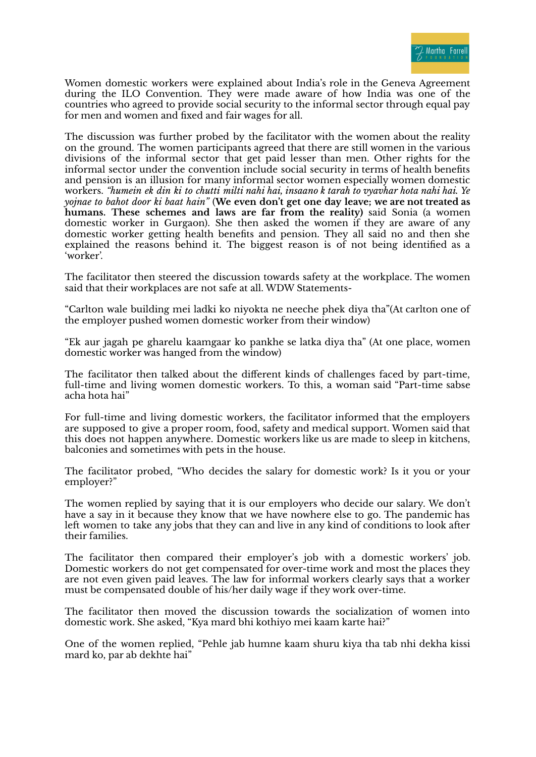

Women domestic workers were explained about India's role in the Geneva Agreement during the ILO Convention. They were made aware of how India was one of the countries who agreed to provide social security to the informal sector through equal pay for men and women and fixed and fair wages for all.

The discussion was further probed by the facilitator with the women about the reality on the ground. The women participants agreed that there are still women in the various divisions of the informal sector that get paid lesser than men. Other rights for the informal sector under the convention include social security in terms of health benefits and pension is an illusion for many informal sector women especially women domestic workers. *"humein ek din ki to chutti milti nahi hai, insaano k tarah to vyavhar hota nahi hai. Ye yojnae to bahot door ki baat hain"* (**We even don't get one day leave; we are not treated as humans. These schemes and laws are far from the reality)** said Sonia (a women domestic worker in Gurgaon). She then asked the women if they are aware of any domestic worker getting health benefits and pension. They all said no and then she explained the reasons behind it. The biggest reason is of not being identified as a 'worker'.

The facilitator then steered the discussion towards safety at the workplace. The women said that their workplaces are not safe at all. WDW Statements-

"Carlton wale building mei ladki ko niyokta ne neeche phek diya tha"(At carlton one of the employer pushed women domestic worker from their window)

"Ek aur jagah pe gharelu kaamgaar ko pankhe se latka diya tha" (At one place, women domestic worker was hanged from the window)

The facilitator then talked about the different kinds of challenges faced by part-time, full-time and living women domestic workers. To this, a woman said "Part-time sabse acha hota hai"

For full-time and living domestic workers, the facilitator informed that the employers are supposed to give a proper room, food, safety and medical support. Women said that this does not happen anywhere. Domestic workers like us are made to sleep in kitchens, balconies and sometimes with pets in the house.

The facilitator probed, "Who decides the salary for domestic work? Is it you or your employer?"

The women replied by saying that it is our employers who decide our salary. We don't have a say in it because they know that we have nowhere else to go. The pandemic has left women to take any jobs that they can and live in any kind of conditions to look after their families.

The facilitator then compared their employer's job with a domestic workers' job. Domestic workers do not get compensated for over-time work and most the places they are not even given paid leaves. The law for informal workers clearly says that a worker must be compensated double of his/her daily wage if they work over-time.

The facilitator then moved the discussion towards the socialization of women into domestic work. She asked, "Kya mard bhi kothiyo mei kaam karte hai?"

One of the women replied, "Pehle jab humne kaam shuru kiya tha tab nhi dekha kissi mard ko, par ab dekhte hai"